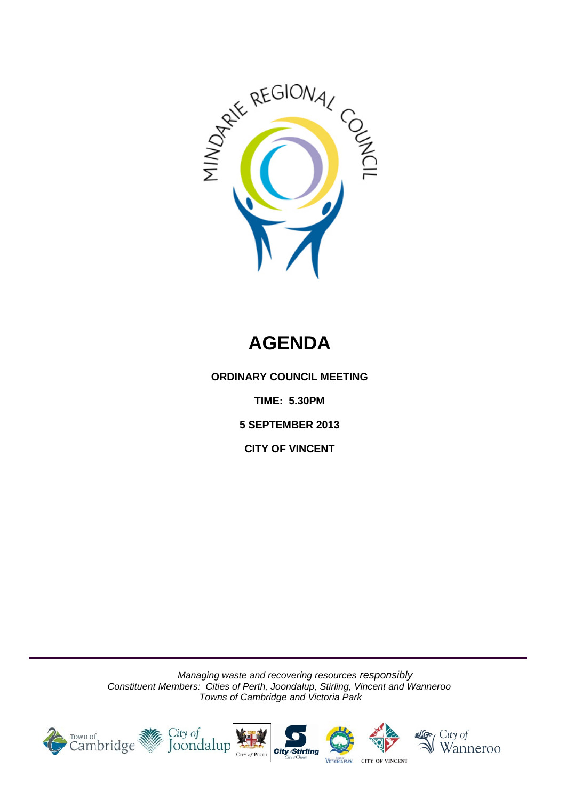

# **AGENDA**

**ORDINARY COUNCIL MEETING**

**TIME: 5.30PM**

**5 SEPTEMBER 2013** 

**CITY OF VINCENT**

*Managing waste and recovering resources responsibly Constituent Members: Cities of Perth, Joondalup, Stirling, Vincent and Wanneroo Towns of Cambridge and Victoria Park*

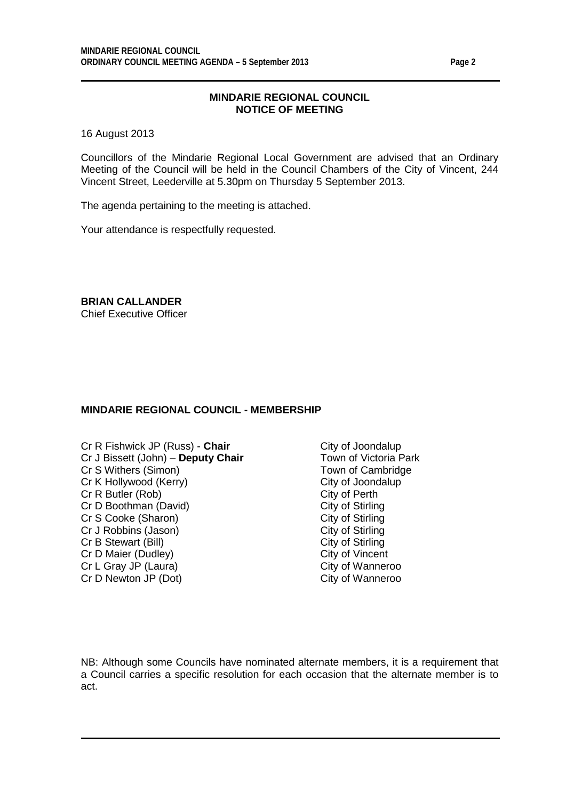## **MINDARIE REGIONAL COUNCIL NOTICE OF MEETING**

16 August 2013

Councillors of the Mindarie Regional Local Government are advised that an Ordinary Meeting of the Council will be held in the Council Chambers of the City of Vincent, 244 Vincent Street, Leederville at 5.30pm on Thursday 5 September 2013.

The agenda pertaining to the meeting is attached.

Your attendance is respectfully requested.

**BRIAN CALLANDER** Chief Executive Officer

## **MINDARIE REGIONAL COUNCIL - MEMBERSHIP**

- Cr R Fishwick JP (Russ) **Chair** City of Joondalup<br>Cr J Bissett (John) **Deputy Chair** Town of Victoria Park Cr J Bissett (John) – **Deputy Chair** Cr S Withers (Simon) Town of Cambridge Cr K Hollywood (Kerry) City of Joondalup<br>
Cr R Butler (Rob) Cr R Butler (Rob) Cr R Butler (Rob) City of Perth<br>
Cr D Boothman (David) City of Stirling Cr D Boothman (David) City of Stirling<br>
Cr S Cooke (Sharon) City of Stirling Cr S Cooke (Sharon) City of Stirling<br>
Cr J Robbins (Jason) City of Stirling<br>
City of Stirling Cr J Robbins (Jason) City of Stirling<br>
Cr B Stewart (Bill) City of Stirling Cr B Stewart (Bill) Cr D Maier (Dudley)<br>
Cr L Gray JP (Laura) Cr L Gray City of Wanneroo Cr L Gray JP (Laura) Cr D Newton JP (Dot) City of Wanneroo
	-

NB: Although some Councils have nominated alternate members, it is a requirement that a Council carries a specific resolution for each occasion that the alternate member is to act.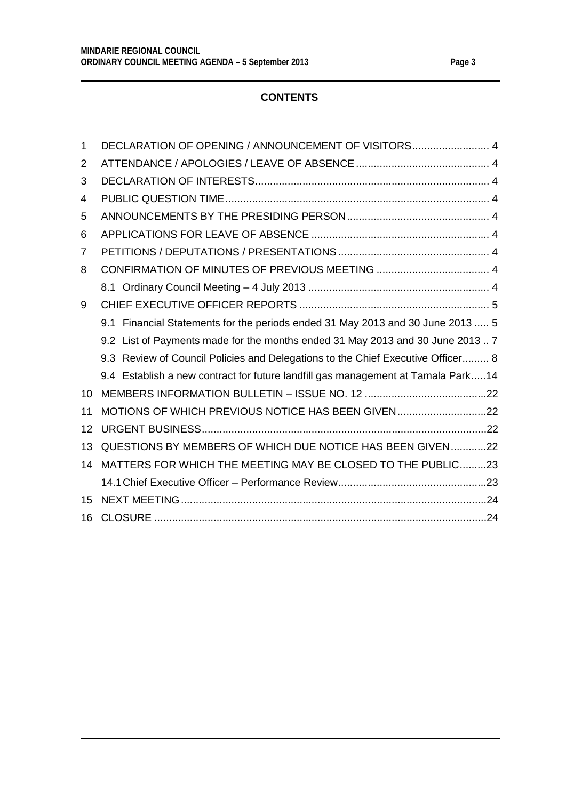# **CONTENTS**

| $\mathbf 1$ | DECLARATION OF OPENING / ANNOUNCEMENT OF VISITORS 4                              |
|-------------|----------------------------------------------------------------------------------|
| 2           |                                                                                  |
| 3           |                                                                                  |
| 4           |                                                                                  |
| 5           |                                                                                  |
| 6           |                                                                                  |
| 7           |                                                                                  |
| 8           |                                                                                  |
|             |                                                                                  |
| 9           |                                                                                  |
|             | 9.1 Financial Statements for the periods ended 31 May 2013 and 30 June 2013  5   |
|             | 9.2 List of Payments made for the months ended 31 May 2013 and 30 June 20137     |
|             | 9.3 Review of Council Policies and Delegations to the Chief Executive Officer 8  |
|             | 9.4 Establish a new contract for future landfill gas management at Tamala Park14 |
| $10 \,$     |                                                                                  |
| 11          | MOTIONS OF WHICH PREVIOUS NOTICE HAS BEEN GIVEN22                                |
| 12          |                                                                                  |
| 13          | QUESTIONS BY MEMBERS OF WHICH DUE NOTICE HAS BEEN GIVEN22                        |
| 14          | MATTERS FOR WHICH THE MEETING MAY BE CLOSED TO THE PUBLIC23                      |
|             |                                                                                  |
| 15          |                                                                                  |
| 16          |                                                                                  |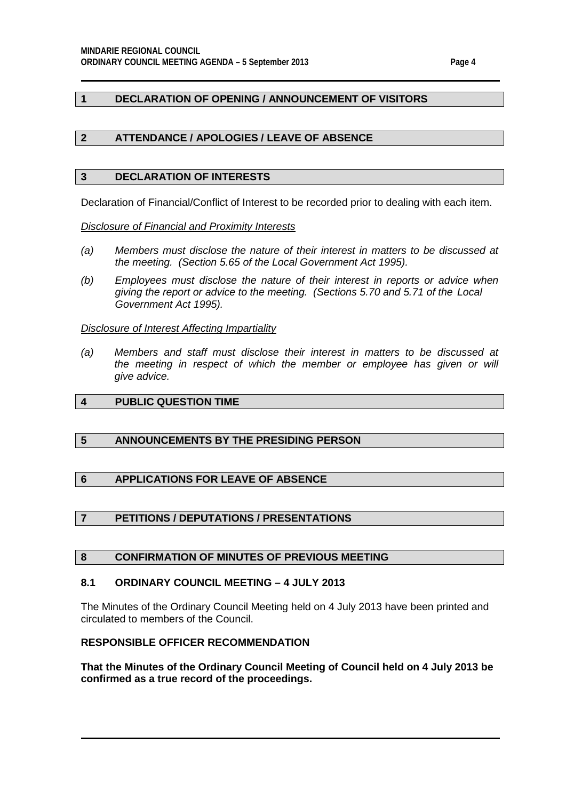## <span id="page-3-0"></span>**1 DECLARATION OF OPENING / ANNOUNCEMENT OF VISITORS**

## <span id="page-3-1"></span>**2 ATTENDANCE / APOLOGIES / LEAVE OF ABSENCE**

#### <span id="page-3-2"></span>**3 DECLARATION OF INTERESTS**

Declaration of Financial/Conflict of Interest to be recorded prior to dealing with each item.

*Disclosure of Financial and Proximity Interests*

- *(a) Members must disclose the nature of their interest in matters to be discussed at the meeting. (Section 5.65 of the Local Government Act 1995).*
- *(b) Employees must disclose the nature of their interest in reports or advice when giving the report or advice to the meeting. (Sections 5.70 and 5.71 of the Local Government Act 1995).*

#### *Disclosure of Interest Affecting Impartiality*

*(a) Members and staff must disclose their interest in matters to be discussed at*  the meeting in respect of which the member or employee has given or will *give advice.*

# <span id="page-3-3"></span>**4 PUBLIC QUESTION TIME**

## <span id="page-3-4"></span>**5 ANNOUNCEMENTS BY THE PRESIDING PERSON**

## <span id="page-3-5"></span>**6 APPLICATIONS FOR LEAVE OF ABSENCE**

## <span id="page-3-6"></span>**7 PETITIONS / DEPUTATIONS / PRESENTATIONS**

## <span id="page-3-7"></span>**8 CONFIRMATION OF MINUTES OF PREVIOUS MEETING**

#### <span id="page-3-8"></span>**8.1 ORDINARY COUNCIL MEETING – 4 JULY 2013**

The Minutes of the Ordinary Council Meeting held on 4 July 2013 have been printed and circulated to members of the Council.

## **RESPONSIBLE OFFICER RECOMMENDATION**

**That the Minutes of the Ordinary Council Meeting of Council held on 4 July 2013 be confirmed as a true record of the proceedings.**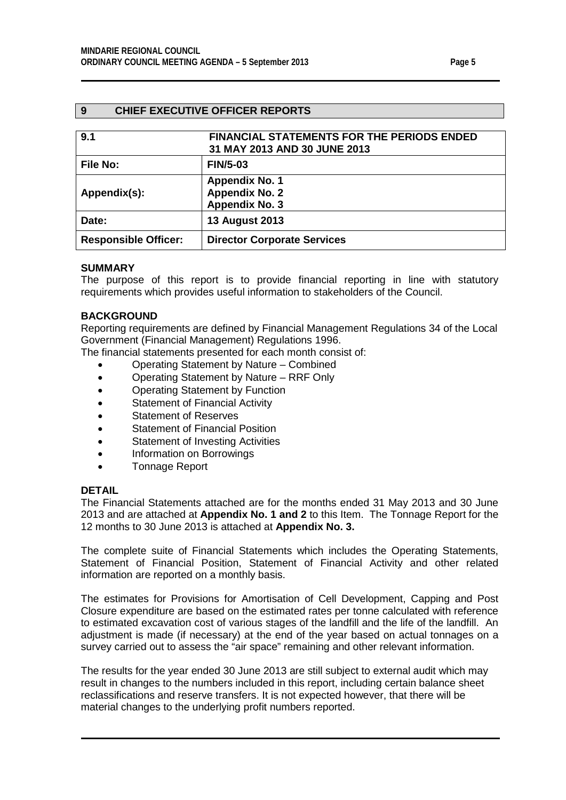## <span id="page-4-0"></span>**9 CHIEF EXECUTIVE OFFICER REPORTS**

<span id="page-4-1"></span>

| 9.1                         | <b>FINANCIAL STATEMENTS FOR THE PERIODS ENDED</b><br>31 MAY 2013 AND 30 JUNE 2013 |
|-----------------------------|-----------------------------------------------------------------------------------|
| File No:                    | <b>FIN/5-03</b>                                                                   |
| Appendix(s):                | <b>Appendix No. 1</b><br><b>Appendix No. 2</b><br><b>Appendix No. 3</b>           |
| Date:                       | <b>13 August 2013</b>                                                             |
| <b>Responsible Officer:</b> | <b>Director Corporate Services</b>                                                |

## **SUMMARY**

The purpose of this report is to provide financial reporting in line with statutory requirements which provides useful information to stakeholders of the Council.

#### **BACKGROUND**

Reporting requirements are defined by Financial Management Regulations 34 of the Local Government (Financial Management) Regulations 1996.

The financial statements presented for each month consist of:

- Operating Statement by Nature Combined
- Operating Statement by Nature RRF Only
- Operating Statement by Function
- Statement of Financial Activity
- Statement of Reserves
- Statement of Financial Position
- Statement of Investing Activities
- Information on Borrowings
- Tonnage Report

#### **DETAIL**

The Financial Statements attached are for the months ended 31 May 2013 and 30 June 2013 and are attached at **Appendix No. 1 and 2** to this Item. The Tonnage Report for the 12 months to 30 June 2013 is attached at **Appendix No. 3.**

The complete suite of Financial Statements which includes the Operating Statements, Statement of Financial Position, Statement of Financial Activity and other related information are reported on a monthly basis.

The estimates for Provisions for Amortisation of Cell Development, Capping and Post Closure expenditure are based on the estimated rates per tonne calculated with reference to estimated excavation cost of various stages of the landfill and the life of the landfill. An adjustment is made (if necessary) at the end of the year based on actual tonnages on a survey carried out to assess the "air space" remaining and other relevant information.

The results for the year ended 30 June 2013 are still subject to external audit which may result in changes to the numbers included in this report, including certain balance sheet reclassifications and reserve transfers. It is not expected however, that there will be material changes to the underlying profit numbers reported.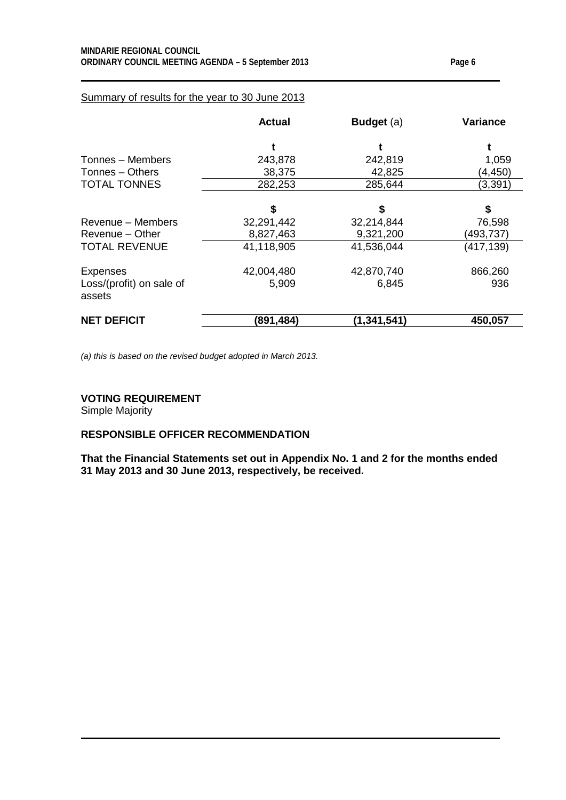## Summary of results for the year to 30 June 2013

|                                    | <b>Actual</b> | <b>Budget</b> (a) | <b>Variance</b> |
|------------------------------------|---------------|-------------------|-----------------|
|                                    |               |                   |                 |
| Tonnes - Members                   | 243,878       | 242,819           | 1,059           |
| Tonnes - Others                    | 38,375        | 42,825            | (4,450)         |
| <b>TOTAL TONNES</b>                | 282,253       | 285,644           | (3, 391)        |
|                                    | \$            | \$                | \$              |
| Revenue - Members                  | 32,291,442    | 32,214,844        | 76,598          |
| Revenue – Other                    | 8,827,463     | 9,321,200         | (493,737)       |
| <b>TOTAL REVENUE</b>               | 41,118,905    | 41,536,044        | (417, 139)      |
| <b>Expenses</b>                    | 42,004,480    | 42,870,740        | 866,260         |
| Loss/(profit) on sale of<br>assets | 5,909         | 6,845             | 936             |
| <b>NET DEFICIT</b>                 | (891,484)     | (1,341,541)       | 450,057         |

*(a) this is based on the revised budget adopted in March 2013.*

#### **VOTING REQUIREMENT**

Simple Majority

## **RESPONSIBLE OFFICER RECOMMENDATION**

**That the Financial Statements set out in Appendix No. 1 and 2 for the months ended 31 May 2013 and 30 June 2013, respectively, be received.**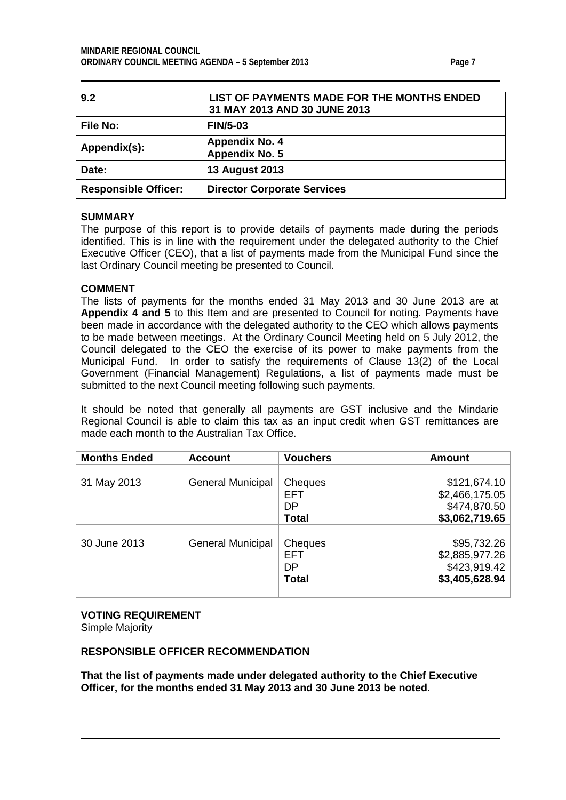<span id="page-6-0"></span>

| 9.2                         | LIST OF PAYMENTS MADE FOR THE MONTHS ENDED<br>31 MAY 2013 AND 30 JUNE 2013 |
|-----------------------------|----------------------------------------------------------------------------|
| <b>File No:</b>             | <b>FIN/5-03</b>                                                            |
| Appendix(s):                | <b>Appendix No. 4</b><br>Appendix No. 5                                    |
| Date:                       | <b>13 August 2013</b>                                                      |
| <b>Responsible Officer:</b> | <b>Director Corporate Services</b>                                         |

### **SUMMARY**

The purpose of this report is to provide details of payments made during the periods identified. This is in line with the requirement under the delegated authority to the Chief Executive Officer (CEO), that a list of payments made from the Municipal Fund since the last Ordinary Council meeting be presented to Council.

## **COMMENT**

The lists of payments for the months ended 31 May 2013 and 30 June 2013 are at **Appendix 4 and 5** to this Item and are presented to Council for noting. Payments have been made in accordance with the delegated authority to the CEO which allows payments to be made between meetings. At the Ordinary Council Meeting held on 5 July 2012, the Council delegated to the CEO the exercise of its power to make payments from the Municipal Fund. In order to satisfy the requirements of Clause 13(2) of the Local Government (Financial Management) Regulations, a list of payments made must be submitted to the next Council meeting following such payments.

It should be noted that generally all payments are GST inclusive and the Mindarie Regional Council is able to claim this tax as an input credit when GST remittances are made each month to the Australian Tax Office.

| <b>Months Ended</b> | <b>Account</b>           | <b>Vouchers</b>                             | <b>Amount</b>                                                   |
|---------------------|--------------------------|---------------------------------------------|-----------------------------------------------------------------|
| 31 May 2013         | <b>General Municipal</b> | Cheques<br><b>EFT</b><br>DP                 | \$121,674.10<br>\$2,466,175.05<br>\$474,870.50                  |
|                     |                          | <b>Total</b>                                | \$3,062,719.65                                                  |
| 30 June 2013        | <b>General Municipal</b> | Cheques<br><b>EFT</b><br>DP<br><b>Total</b> | \$95,732.26<br>\$2,885,977.26<br>\$423,919.42<br>\$3,405,628.94 |

# **VOTING REQUIREMENT**

Simple Majority

## **RESPONSIBLE OFFICER RECOMMENDATION**

**That the list of payments made under delegated authority to the Chief Executive Officer, for the months ended 31 May 2013 and 30 June 2013 be noted.**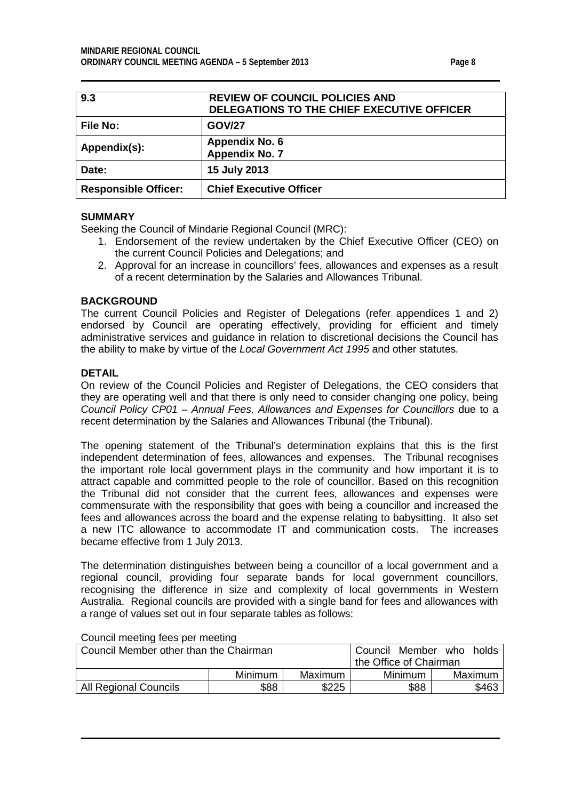<span id="page-7-0"></span>

| 9.3                         | <b>REVIEW OF COUNCIL POLICIES AND</b><br>DELEGATIONS TO THE CHIEF EXECUTIVE OFFICER |
|-----------------------------|-------------------------------------------------------------------------------------|
| <b>File No:</b>             | <b>GOV/27</b>                                                                       |
| Appendix(s):                | <b>Appendix No. 6</b><br><b>Appendix No. 7</b>                                      |
| Date:                       | 15 July 2013                                                                        |
| <b>Responsible Officer:</b> | <b>Chief Executive Officer</b>                                                      |

## **SUMMARY**

Seeking the Council of Mindarie Regional Council (MRC):

- 1. Endorsement of the review undertaken by the Chief Executive Officer (CEO) on the current Council Policies and Delegations; and
- 2. Approval for an increase in councillors' fees, allowances and expenses as a result of a recent determination by the Salaries and Allowances Tribunal.

### **BACKGROUND**

The current Council Policies and Register of Delegations (refer appendices 1 and 2) endorsed by Council are operating effectively, providing for efficient and timely administrative services and guidance in relation to discretional decisions the Council has the ability to make by virtue of the *Local Government Act 1995* and other statutes*.*

### **DETAIL**

On review of the Council Policies and Register of Delegations, the CEO considers that they are operating well and that there is only need to consider changing one policy, being *Council Policy CP01 – Annual Fees, Allowances and Expenses for Councillors* due to a recent determination by the Salaries and Allowances Tribunal (the Tribunal).

The opening statement of the Tribunal's determination explains that this is the first independent determination of fees, allowances and expenses. The Tribunal recognises the important role local government plays in the community and how important it is to attract capable and committed people to the role of councillor. Based on this recognition the Tribunal did not consider that the current fees, allowances and expenses were commensurate with the responsibility that goes with being a councillor and increased the fees and allowances across the board and the expense relating to babysitting. It also set a new ITC allowance to accommodate IT and communication costs. The increases became effective from 1 July 2013.

The determination distinguishes between being a councillor of a local government and a regional council, providing four separate bands for local government councillors, recognising the difference in size and complexity of local governments in Western Australia. Regional councils are provided with a single band for fees and allowances with a range of values set out in four separate tables as follows:

| Council Member other than the Chairman | Member<br>Council      | who     | holds   |  |         |
|----------------------------------------|------------------------|---------|---------|--|---------|
|                                        | the Office of Chairman |         |         |  |         |
|                                        | Minimum                | Maximum | Minimum |  | Maximum |
| <b>All Regional Councils</b>           | \$88                   |         | \$463   |  |         |

#### Council meeting fees per meeting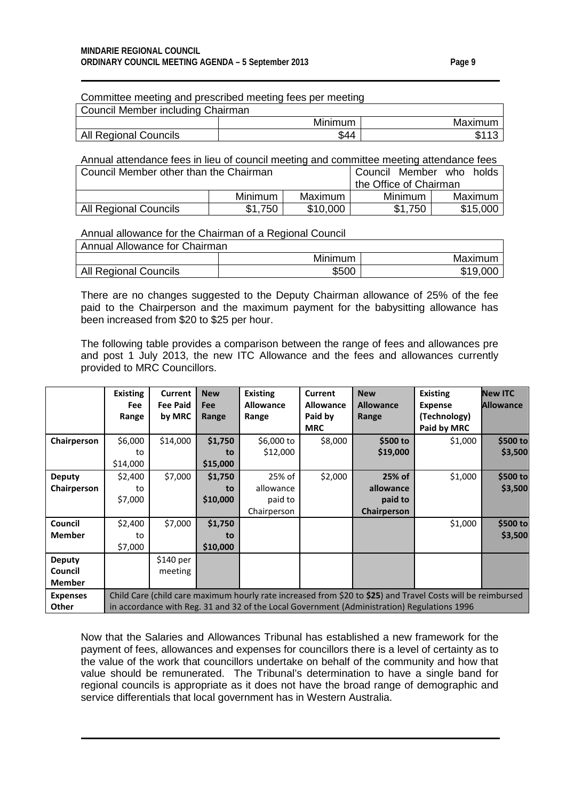| Committee meeting and prescribed meeting fees per meeting |         |         |  |  |  |  |
|-----------------------------------------------------------|---------|---------|--|--|--|--|
| Council Member including Chairman                         |         |         |  |  |  |  |
|                                                           | Minimum | Maximum |  |  |  |  |
| All Regional Councils                                     | \$44    | \$113   |  |  |  |  |

| Annual attendance fees in lieu of council meeting and committee meeting attendance fees |         |          |         |          |  |  |  |
|-----------------------------------------------------------------------------------------|---------|----------|---------|----------|--|--|--|
| Council Member other than the Chairman<br>Council Member who holds                      |         |          |         |          |  |  |  |
| the Office of Chairman                                                                  |         |          |         |          |  |  |  |
| Maximum I<br>Minimum<br>Maximum<br>Minimum I                                            |         |          |         |          |  |  |  |
| <b>All Regional Councils</b>                                                            | \$1,750 | \$10,000 | \$1.750 | \$15,000 |  |  |  |

#### Annual allowance for the Chairman of a Regional Council

| Annual Allowance for Chairman |                |          |  |  |  |  |
|-------------------------------|----------------|----------|--|--|--|--|
|                               | <b>Minimum</b> | Maximum  |  |  |  |  |
| All Regional Councils         | \$500          | \$19,000 |  |  |  |  |

There are no changes suggested to the Deputy Chairman allowance of 25% of the fee paid to the Chairperson and the maximum payment for the babysitting allowance has been increased from \$20 to \$25 per hour.

The following table provides a comparison between the range of fees and allowances pre and post 1 July 2013, the new ITC Allowance and the fees and allowances currently provided to MRC Councillors.

|                 | <b>Existing</b>                                                                             | <b>Current</b>            | <b>New</b>          | <b>Existing</b>           | Current                     | <b>New</b>                | <b>Existing</b>                                                                                             | <b>New ITC</b>   |
|-----------------|---------------------------------------------------------------------------------------------|---------------------------|---------------------|---------------------------|-----------------------------|---------------------------|-------------------------------------------------------------------------------------------------------------|------------------|
|                 | <b>Fee</b><br>Range                                                                         | <b>Fee Paid</b><br>by MRC | <b>Fee</b><br>Range | <b>Allowance</b><br>Range | <b>Allowance</b><br>Paid by | <b>Allowance</b><br>Range | <b>Expense</b><br>(Technology)                                                                              | <b>Allowance</b> |
|                 |                                                                                             |                           |                     |                           | <b>MRC</b>                  |                           | Paid by MRC                                                                                                 |                  |
| Chairperson     | \$6,000                                                                                     | \$14,000                  | \$1,750             | \$6,000 to                | \$8,000                     | \$500 to                  | \$1,000                                                                                                     | \$500 to         |
|                 | to                                                                                          |                           | to                  | \$12,000                  |                             | \$19,000                  |                                                                                                             | \$3,500          |
|                 | \$14,000                                                                                    |                           | \$15,000            |                           |                             |                           |                                                                                                             |                  |
| <b>Deputy</b>   | \$2,400                                                                                     | \$7,000                   | \$1,750             | 25% of                    | \$2,000                     | 25% of                    | \$1,000                                                                                                     | \$500 to         |
| Chairperson     | to                                                                                          |                           | to                  | allowance                 |                             | allowance                 |                                                                                                             | \$3,500          |
|                 | \$7,000                                                                                     |                           | \$10,000            | paid to                   |                             | paid to                   |                                                                                                             |                  |
|                 |                                                                                             |                           |                     | Chairperson               |                             | Chairperson               |                                                                                                             |                  |
| <b>Council</b>  | \$2,400                                                                                     | \$7,000                   | \$1,750             |                           |                             |                           | \$1,000                                                                                                     | \$500 to         |
| <b>Member</b>   | to                                                                                          |                           | to                  |                           |                             |                           |                                                                                                             | \$3,500          |
|                 | \$7,000                                                                                     |                           | \$10,000            |                           |                             |                           |                                                                                                             |                  |
| <b>Deputy</b>   |                                                                                             | $$140$ per                |                     |                           |                             |                           |                                                                                                             |                  |
| Council         |                                                                                             | meeting                   |                     |                           |                             |                           |                                                                                                             |                  |
| <b>Member</b>   |                                                                                             |                           |                     |                           |                             |                           |                                                                                                             |                  |
| <b>Expenses</b> |                                                                                             |                           |                     |                           |                             |                           | Child Care (child care maximum hourly rate increased from \$20 to \$25) and Travel Costs will be reimbursed |                  |
| Other           | in accordance with Reg. 31 and 32 of the Local Government (Administration) Regulations 1996 |                           |                     |                           |                             |                           |                                                                                                             |                  |

Now that the Salaries and Allowances Tribunal has established a new framework for the payment of fees, allowances and expenses for councillors there is a level of certainty as to the value of the work that councillors undertake on behalf of the community and how that value should be remunerated. The Tribunal's determination to have a single band for regional councils is appropriate as it does not have the broad range of demographic and service differentials that local government has in Western Australia.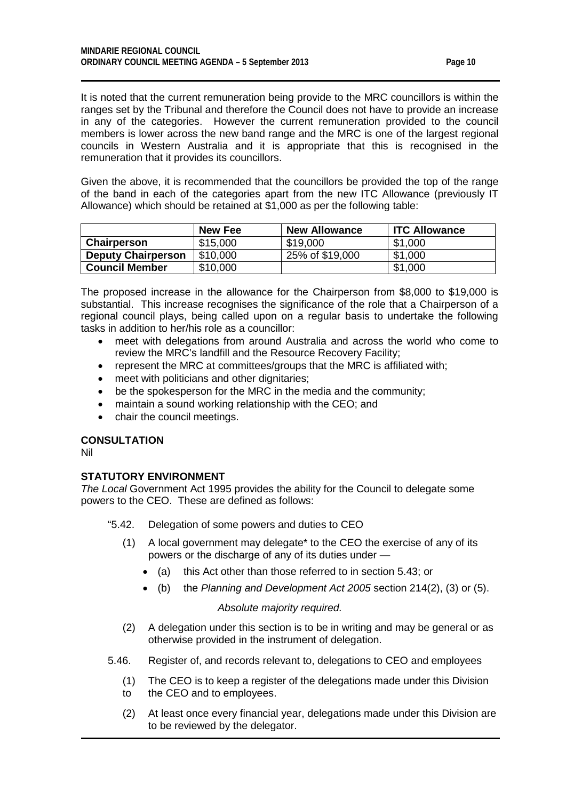It is noted that the current remuneration being provide to the MRC councillors is within the ranges set by the Tribunal and therefore the Council does not have to provide an increase in any of the categories. However the current remuneration provided to the council members is lower across the new band range and the MRC is one of the largest regional councils in Western Australia and it is appropriate that this is recognised in the remuneration that it provides its councillors.

Given the above, it is recommended that the councillors be provided the top of the range of the band in each of the categories apart from the new ITC Allowance (previously IT Allowance) which should be retained at \$1,000 as per the following table:

|                           | New Fee  | <b>New Allowance</b> | <b>ITC Allowance</b> |
|---------------------------|----------|----------------------|----------------------|
| Chairperson               | \$15,000 | \$19,000             | \$1,000              |
| <b>Deputy Chairperson</b> | \$10,000 | 25% of \$19,000      | \$1,000              |
| <b>Council Member</b>     | \$10,000 |                      | \$1,000              |

The proposed increase in the allowance for the Chairperson from \$8,000 to \$19,000 is substantial. This increase recognises the significance of the role that a Chairperson of a regional council plays, being called upon on a regular basis to undertake the following tasks in addition to her/his role as a councillor:

- meet with delegations from around Australia and across the world who come to review the MRC's landfill and the Resource Recovery Facility;
- represent the MRC at committees/groups that the MRC is affiliated with;
- meet with politicians and other dignitaries:
- be the spokesperson for the MRC in the media and the community;
- maintain a sound working relationship with the CEO; and
- chair the council meetings.

## **CONSULTATION**

Nil

## **STATUTORY ENVIRONMENT**

*The Local* Government Act 1995 provides the ability for the Council to delegate some powers to the CEO. These are defined as follows:

"5.42. Delegation of some powers and duties to CEO

- (1) A local government may delegate\* to the CEO the exercise of any of its powers or the discharge of any of its duties under —
	- (a) this Act other than those referred to in section 5.43; or
	- (b) the *Planning and Development Act 2005* section 214(2), (3) or (5).

## *Absolute majority required.*

- (2) A delegation under this section is to be in writing and may be general or as otherwise provided in the instrument of delegation.
- 5.46. Register of, and records relevant to, delegations to CEO and employees
	- (1) The CEO is to keep a register of the delegations made under this Division to the CEO and to employees.
	- (2) At least once every financial year, delegations made under this Division are to be reviewed by the delegator.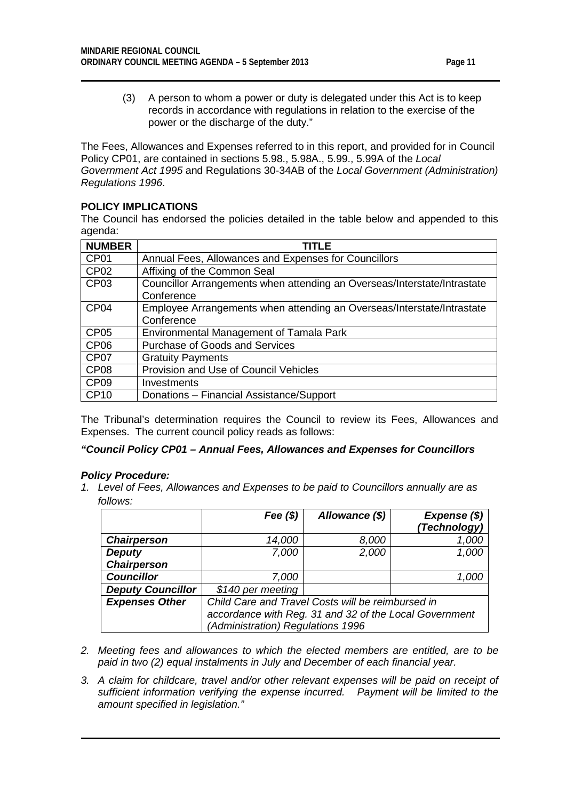(3) A person to whom a power or duty is delegated under this Act is to keep records in accordance with regulations in relation to the exercise of the power or the discharge of the duty."

The Fees, Allowances and Expenses referred to in this report, and provided for in Council Policy CP01, are contained in sections 5.98., 5.98A., 5.99., 5.99A of the *Local Government Act 1995* and Regulations 30-34AB of the *Local Government (Administration) Regulations 1996*.

## **POLICY IMPLICATIONS**

The Council has endorsed the policies detailed in the table below and appended to this agenda:

| <b>NUMBER</b>    | TITLE                                                                                  |
|------------------|----------------------------------------------------------------------------------------|
| CP01             | Annual Fees, Allowances and Expenses for Councillors                                   |
| CP <sub>02</sub> | Affixing of the Common Seal                                                            |
| CP <sub>03</sub> | Councillor Arrangements when attending an Overseas/Interstate/Intrastate<br>Conference |
| CP <sub>04</sub> | Employee Arrangements when attending an Overseas/Interstate/Intrastate<br>Conference   |
| CP <sub>05</sub> | Environmental Management of Tamala Park                                                |
| CP <sub>06</sub> | Purchase of Goods and Services                                                         |
| CP <sub>07</sub> | <b>Gratuity Payments</b>                                                               |
| CP <sub>08</sub> | Provision and Use of Council Vehicles                                                  |
| CP <sub>09</sub> | Investments                                                                            |
| <b>CP10</b>      | Donations - Financial Assistance/Support                                               |

The Tribunal's determination requires the Council to review its Fees, Allowances and Expenses. The current council policy reads as follows:

## *"Council Policy CP01 – Annual Fees, Allowances and Expenses for Councillors*

## *Policy Procedure:*

*1. Level of Fees, Allowances and Expenses to be paid to Councillors annually are as follows:*

|                          | Fee $(\$)$                                             | Allowance (\$) | Expense (\$) |
|--------------------------|--------------------------------------------------------|----------------|--------------|
|                          |                                                        |                | (Technology) |
| <b>Chairperson</b>       | 14,000                                                 | 8,000          | 1,000        |
| <b>Deputy</b>            | 7,000                                                  | 2,000          | 1,000        |
| <b>Chairperson</b>       |                                                        |                |              |
| <b>Councillor</b>        | 7,000                                                  |                | 1,000        |
| <b>Deputy Councillor</b> | \$140 per meeting                                      |                |              |
| <b>Expenses Other</b>    | Child Care and Travel Costs will be reimbursed in      |                |              |
|                          | accordance with Reg. 31 and 32 of the Local Government |                |              |
|                          | (Administration) Regulations 1996                      |                |              |

- *2. Meeting fees and allowances to which the elected members are entitled, are to be paid in two (2) equal instalments in July and December of each financial year.*
- *3. A claim for childcare, travel and/or other relevant expenses will be paid on receipt of sufficient information verifying the expense incurred. Payment will be limited to the amount specified in legislation."*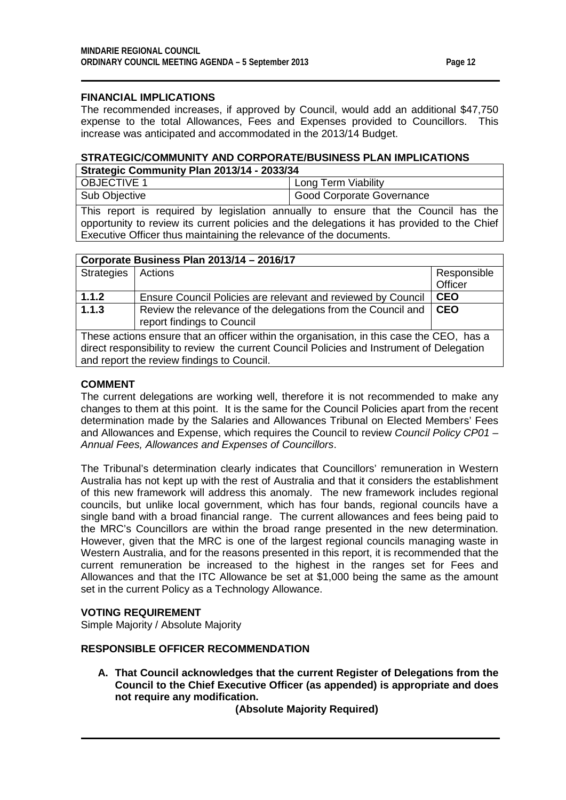## **FINANCIAL IMPLICATIONS**

The recommended increases, if approved by Council, would add an additional \$47,750 expense to the total Allowances, Fees and Expenses provided to Councillors. This increase was anticipated and accommodated in the 2013/14 Budget.

#### **STRATEGIC/COMMUNITY AND CORPORATE/BUSINESS PLAN IMPLICATIONS Strategic Community Plan 2013/14 - 2033/34**

| Strategic Community Plan 2013/14 - 2033/34 |                           |  |  |
|--------------------------------------------|---------------------------|--|--|
| <b>OBJECTIVE 1</b>                         | Long Term Viability       |  |  |
| Sub Objective                              | Good Corporate Governance |  |  |

This report is required by legislation annually to ensure that the Council has the opportunity to review its current policies and the delegations it has provided to the Chief Executive Officer thus maintaining the relevance of the documents.

| Corporate Business Plan 2013/14 - 2016/17                                                 |                                                                                            |             |  |
|-------------------------------------------------------------------------------------------|--------------------------------------------------------------------------------------------|-------------|--|
| <b>Strategies</b>                                                                         | Actions                                                                                    | Responsible |  |
|                                                                                           |                                                                                            | Officer     |  |
| 1.1.2                                                                                     | Ensure Council Policies are relevant and reviewed by Council                               | <b>CEO</b>  |  |
| 1.1.3                                                                                     | Review the relevance of the delegations from the Council and<br>report findings to Council | <b>CEO</b>  |  |
| These actions ensure that an officer within the organisation, in this case the CEO, has a |                                                                                            |             |  |
| direct responsibility to review the current Council Policies and Instrument of Delegation |                                                                                            |             |  |
| and report the review findings to Council.                                                |                                                                                            |             |  |

## **COMMENT**

The current delegations are working well, therefore it is not recommended to make any changes to them at this point. It is the same for the Council Policies apart from the recent determination made by the Salaries and Allowances Tribunal on Elected Members' Fees and Allowances and Expense, which requires the Council to review *Council Policy CP01 – Annual Fees, Allowances and Expenses of Councillors*.

The Tribunal's determination clearly indicates that Councillors' remuneration in Western Australia has not kept up with the rest of Australia and that it considers the establishment of this new framework will address this anomaly. The new framework includes regional councils, but unlike local government, which has four bands, regional councils have a single band with a broad financial range. The current allowances and fees being paid to the MRC's Councillors are within the broad range presented in the new determination. However, given that the MRC is one of the largest regional councils managing waste in Western Australia, and for the reasons presented in this report, it is recommended that the current remuneration be increased to the highest in the ranges set for Fees and Allowances and that the ITC Allowance be set at \$1,000 being the same as the amount set in the current Policy as a Technology Allowance.

## **VOTING REQUIREMENT**

Simple Majority / Absolute Majority

#### **RESPONSIBLE OFFICER RECOMMENDATION**

**A. That Council acknowledges that the current Register of Delegations from the Council to the Chief Executive Officer (as appended) is appropriate and does not require any modification.**

**(Absolute Majority Required)**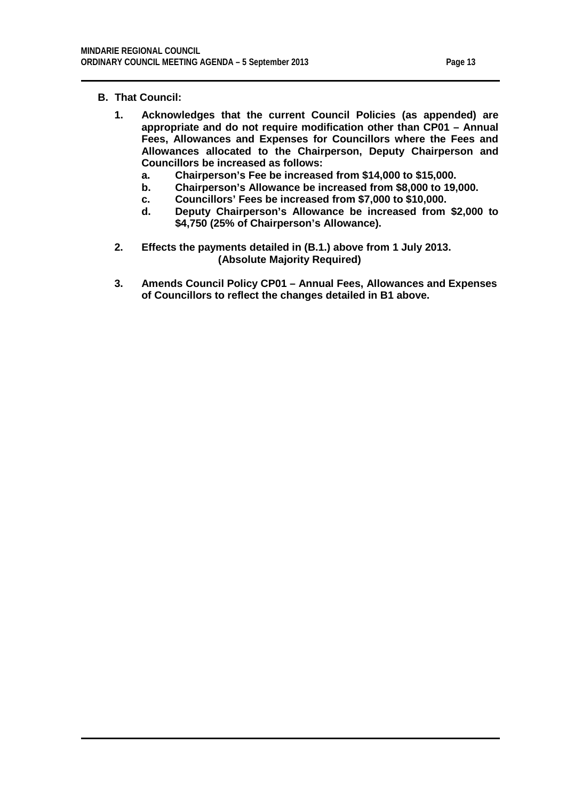## **B. That Council:**

- **1. Acknowledges that the current Council Policies (as appended) are appropriate and do not require modification other than CP01 – Annual Fees, Allowances and Expenses for Councillors where the Fees and Allowances allocated to the Chairperson, Deputy Chairperson and Councillors be increased as follows:**
	- **a. Chairperson's Fee be increased from \$14,000 to \$15,000.**
	- **b. Chairperson's Allowance be increased from \$8,000 to 19,000.**
	- **c. Councillors' Fees be increased from \$7,000 to \$10,000.**
	- **d. Deputy Chairperson's Allowance be increased from \$2,000 to \$4,750 (25% of Chairperson's Allowance).**
- **2. Effects the payments detailed in (B.1.) above from 1 July 2013. (Absolute Majority Required)**
- **3. Amends Council Policy CP01 – Annual Fees, Allowances and Expenses of Councillors to reflect the changes detailed in B1 above.**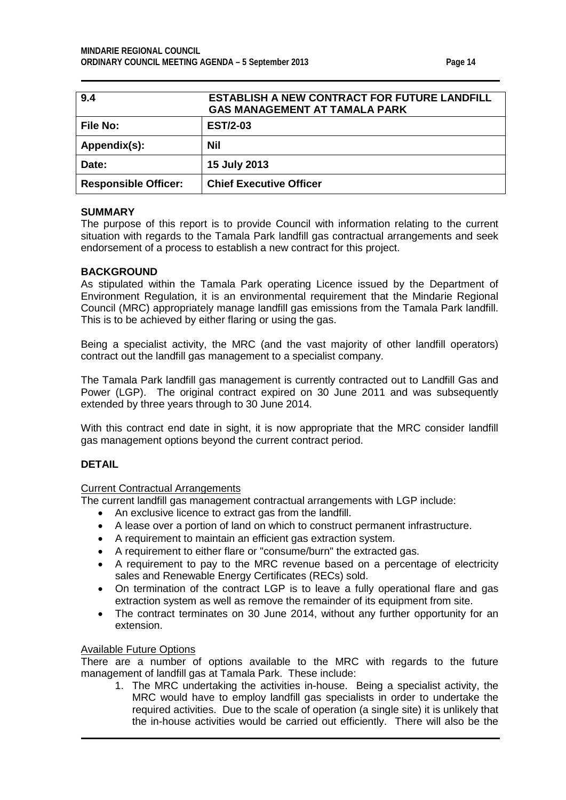<span id="page-13-0"></span>

| 9.4                         | <b>ESTABLISH A NEW CONTRACT FOR FUTURE LANDFILL</b><br><b>GAS MANAGEMENT AT TAMALA PARK</b> |
|-----------------------------|---------------------------------------------------------------------------------------------|
| <b>File No:</b>             | <b>EST/2-03</b>                                                                             |
| Appendix(s):                | Nil                                                                                         |
| Date:                       | 15 July 2013                                                                                |
| <b>Responsible Officer:</b> | <b>Chief Executive Officer</b>                                                              |

#### **SUMMARY**

The purpose of this report is to provide Council with information relating to the current situation with regards to the Tamala Park landfill gas contractual arrangements and seek endorsement of a process to establish a new contract for this project.

## **BACKGROUND**

As stipulated within the Tamala Park operating Licence issued by the Department of Environment Regulation, it is an environmental requirement that the Mindarie Regional Council (MRC) appropriately manage landfill gas emissions from the Tamala Park landfill. This is to be achieved by either flaring or using the gas.

Being a specialist activity, the MRC (and the vast majority of other landfill operators) contract out the landfill gas management to a specialist company.

The Tamala Park landfill gas management is currently contracted out to Landfill Gas and Power (LGP). The original contract expired on 30 June 2011 and was subsequently extended by three years through to 30 June 2014.

With this contract end date in sight, it is now appropriate that the MRC consider landfill gas management options beyond the current contract period.

## **DETAIL**

#### Current Contractual Arrangements

The current landfill gas management contractual arrangements with LGP include:

- An exclusive licence to extract gas from the landfill.
- A lease over a portion of land on which to construct permanent infrastructure.
- A requirement to maintain an efficient gas extraction system.
- A requirement to either flare or "consume/burn" the extracted gas.
- A requirement to pay to the MRC revenue based on a percentage of electricity sales and Renewable Energy Certificates (RECs) sold.
- On termination of the contract LGP is to leave a fully operational flare and gas extraction system as well as remove the remainder of its equipment from site.
- The contract terminates on 30 June 2014, without any further opportunity for an extension.

#### Available Future Options

There are a number of options available to the MRC with regards to the future management of landfill gas at Tamala Park. These include:

1. The MRC undertaking the activities in-house. Being a specialist activity, the MRC would have to employ landfill gas specialists in order to undertake the required activities. Due to the scale of operation (a single site) it is unlikely that the in-house activities would be carried out efficiently. There will also be the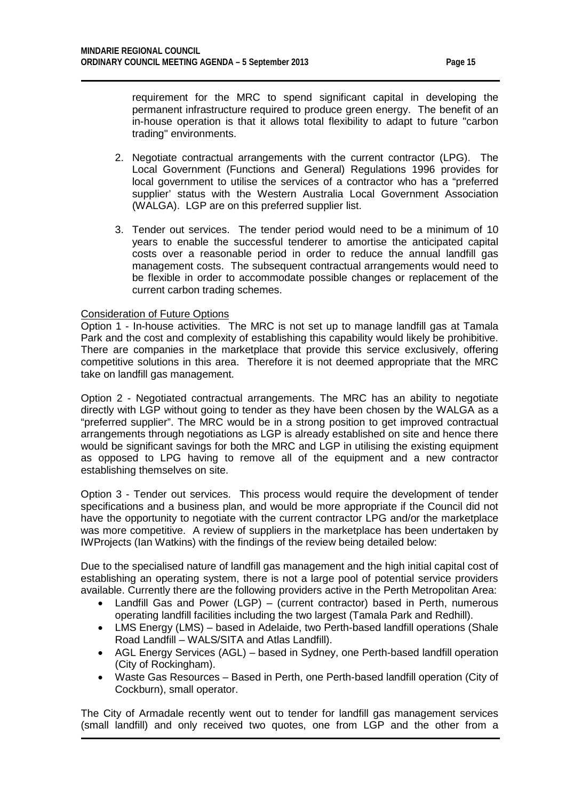requirement for the MRC to spend significant capital in developing the permanent infrastructure required to produce green energy. The benefit of an in-house operation is that it allows total flexibility to adapt to future "carbon trading" environments.

- 2. Negotiate contractual arrangements with the current contractor (LPG). The Local Government (Functions and General) Regulations 1996 provides for local government to utilise the services of a contractor who has a "preferred supplier' status with the Western Australia Local Government Association (WALGA). LGP are on this preferred supplier list.
- 3. Tender out services. The tender period would need to be a minimum of 10 years to enable the successful tenderer to amortise the anticipated capital costs over a reasonable period in order to reduce the annual landfill gas management costs. The subsequent contractual arrangements would need to be flexible in order to accommodate possible changes or replacement of the current carbon trading schemes.

### Consideration of Future Options

Option 1 - In-house activities. The MRC is not set up to manage landfill gas at Tamala Park and the cost and complexity of establishing this capability would likely be prohibitive. There are companies in the marketplace that provide this service exclusively, offering competitive solutions in this area. Therefore it is not deemed appropriate that the MRC take on landfill gas management.

Option 2 - Negotiated contractual arrangements. The MRC has an ability to negotiate directly with LGP without going to tender as they have been chosen by the WALGA as a "preferred supplier". The MRC would be in a strong position to get improved contractual arrangements through negotiations as LGP is already established on site and hence there would be significant savings for both the MRC and LGP in utilising the existing equipment as opposed to LPG having to remove all of the equipment and a new contractor establishing themselves on site.

Option 3 - Tender out services. This process would require the development of tender specifications and a business plan, and would be more appropriate if the Council did not have the opportunity to negotiate with the current contractor LPG and/or the marketplace was more competitive. A review of suppliers in the marketplace has been undertaken by IWProjects (Ian Watkins) with the findings of the review being detailed below:

Due to the specialised nature of landfill gas management and the high initial capital cost of establishing an operating system, there is not a large pool of potential service providers available. Currently there are the following providers active in the Perth Metropolitan Area:

- Landfill Gas and Power (LGP) (current contractor) based in Perth, numerous operating landfill facilities including the two largest (Tamala Park and Redhill).
- LMS Energy (LMS) based in Adelaide, two Perth-based landfill operations (Shale Road Landfill – WALS/SITA and Atlas Landfill).
- AGL Energy Services (AGL) based in Sydney, one Perth-based landfill operation (City of Rockingham).
- Waste Gas Resources Based in Perth, one Perth-based landfill operation (City of Cockburn), small operator.

The City of Armadale recently went out to tender for landfill gas management services (small landfill) and only received two quotes, one from LGP and the other from a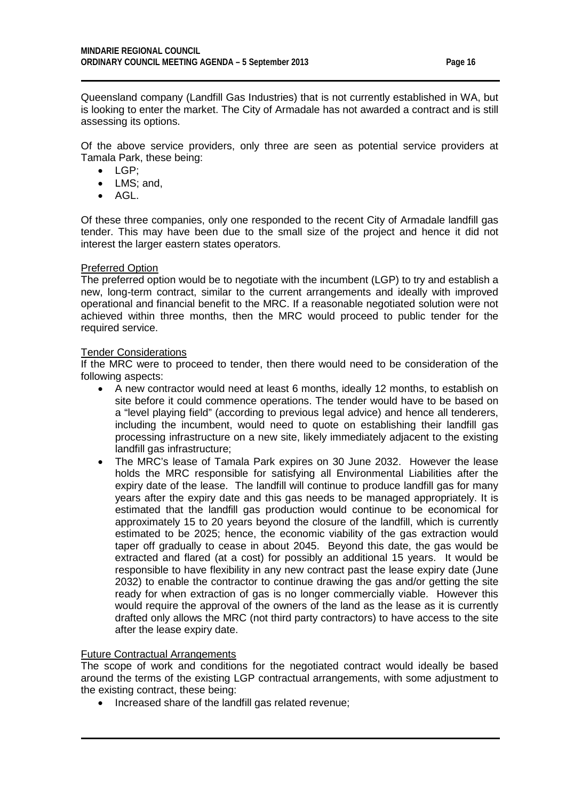Queensland company (Landfill Gas Industries) that is not currently established in WA, but is looking to enter the market. The City of Armadale has not awarded a contract and is still assessing its options.

Of the above service providers, only three are seen as potential service providers at Tamala Park, these being:

- LGP;
- LMS: and,
- AGL.

Of these three companies, only one responded to the recent City of Armadale landfill gas tender. This may have been due to the small size of the project and hence it did not interest the larger eastern states operators.

## Preferred Option

The preferred option would be to negotiate with the incumbent (LGP) to try and establish a new, long-term contract, similar to the current arrangements and ideally with improved operational and financial benefit to the MRC. If a reasonable negotiated solution were not achieved within three months, then the MRC would proceed to public tender for the required service.

### Tender Considerations

If the MRC were to proceed to tender, then there would need to be consideration of the following aspects:

- A new contractor would need at least 6 months, ideally 12 months, to establish on site before it could commence operations. The tender would have to be based on a "level playing field" (according to previous legal advice) and hence all tenderers, including the incumbent, would need to quote on establishing their landfill gas processing infrastructure on a new site, likely immediately adjacent to the existing landfill gas infrastructure;
- The MRC's lease of Tamala Park expires on 30 June 2032. However the lease holds the MRC responsible for satisfying all Environmental Liabilities after the expiry date of the lease. The landfill will continue to produce landfill gas for many years after the expiry date and this gas needs to be managed appropriately. It is estimated that the landfill gas production would continue to be economical for approximately 15 to 20 years beyond the closure of the landfill, which is currently estimated to be 2025; hence, the economic viability of the gas extraction would taper off gradually to cease in about 2045. Beyond this date, the gas would be extracted and flared (at a cost) for possibly an additional 15 years. It would be responsible to have flexibility in any new contract past the lease expiry date (June 2032) to enable the contractor to continue drawing the gas and/or getting the site ready for when extraction of gas is no longer commercially viable. However this would require the approval of the owners of the land as the lease as it is currently drafted only allows the MRC (not third party contractors) to have access to the site after the lease expiry date.

## Future Contractual Arrangements

The scope of work and conditions for the negotiated contract would ideally be based around the terms of the existing LGP contractual arrangements, with some adjustment to the existing contract, these being:

• Increased share of the landfill gas related revenue;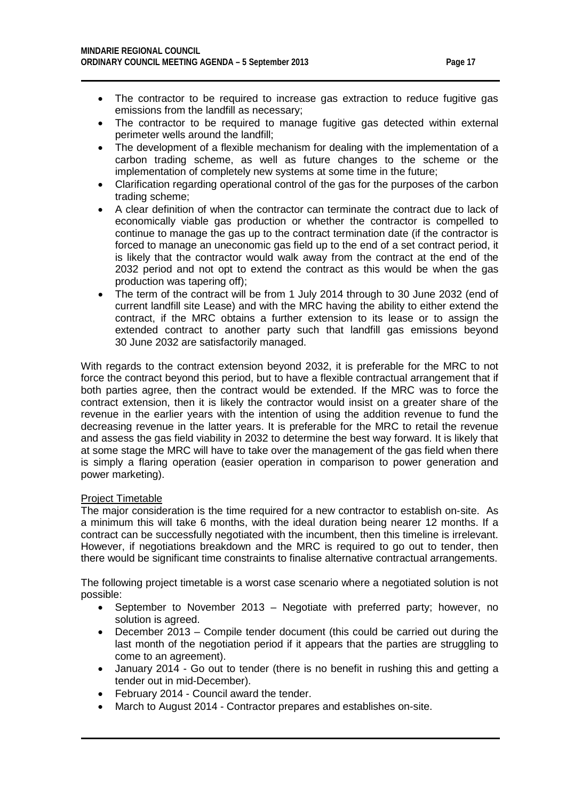- The contractor to be required to increase gas extraction to reduce fugitive gas emissions from the landfill as necessary;
- The contractor to be required to manage fugitive gas detected within external perimeter wells around the landfill;
- The development of a flexible mechanism for dealing with the implementation of a carbon trading scheme, as well as future changes to the scheme or the implementation of completely new systems at some time in the future;
- Clarification regarding operational control of the gas for the purposes of the carbon trading scheme;
- A clear definition of when the contractor can terminate the contract due to lack of economically viable gas production or whether the contractor is compelled to continue to manage the gas up to the contract termination date (if the contractor is forced to manage an uneconomic gas field up to the end of a set contract period, it is likely that the contractor would walk away from the contract at the end of the 2032 period and not opt to extend the contract as this would be when the gas production was tapering off);
- The term of the contract will be from 1 July 2014 through to 30 June 2032 (end of current landfill site Lease) and with the MRC having the ability to either extend the contract, if the MRC obtains a further extension to its lease or to assign the extended contract to another party such that landfill gas emissions beyond 30 June 2032 are satisfactorily managed.

With regards to the contract extension beyond 2032, it is preferable for the MRC to not force the contract beyond this period, but to have a flexible contractual arrangement that if both parties agree, then the contract would be extended. If the MRC was to force the contract extension, then it is likely the contractor would insist on a greater share of the revenue in the earlier years with the intention of using the addition revenue to fund the decreasing revenue in the latter years. It is preferable for the MRC to retail the revenue and assess the gas field viability in 2032 to determine the best way forward. It is likely that at some stage the MRC will have to take over the management of the gas field when there is simply a flaring operation (easier operation in comparison to power generation and power marketing).

## Project Timetable

The major consideration is the time required for a new contractor to establish on-site. As a minimum this will take 6 months, with the ideal duration being nearer 12 months. If a contract can be successfully negotiated with the incumbent, then this timeline is irrelevant. However, if negotiations breakdown and the MRC is required to go out to tender, then there would be significant time constraints to finalise alternative contractual arrangements.

The following project timetable is a worst case scenario where a negotiated solution is not possible:

- September to November 2013 Negotiate with preferred party; however, no solution is agreed.
- December 2013 Compile tender document (this could be carried out during the last month of the negotiation period if it appears that the parties are struggling to come to an agreement).
- January 2014 Go out to tender (there is no benefit in rushing this and getting a tender out in mid-December).
- February 2014 Council award the tender.
- March to August 2014 Contractor prepares and establishes on-site.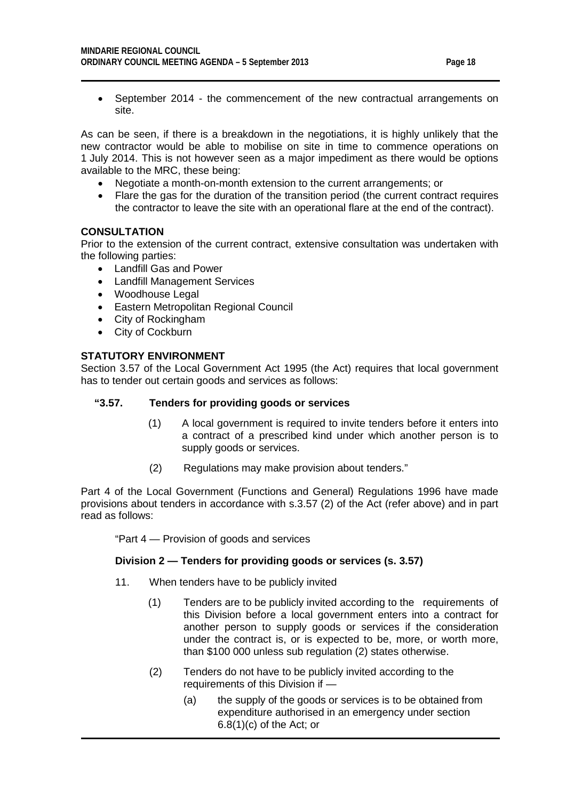- 
- September 2014 the commencement of the new contractual arrangements on site.

As can be seen, if there is a breakdown in the negotiations, it is highly unlikely that the new contractor would be able to mobilise on site in time to commence operations on 1 July 2014. This is not however seen as a major impediment as there would be options available to the MRC, these being:

- Negotiate a month-on-month extension to the current arrangements; or
- Flare the gas for the duration of the transition period (the current contract requires the contractor to leave the site with an operational flare at the end of the contract).

## **CONSULTATION**

Prior to the extension of the current contract, extensive consultation was undertaken with the following parties:

- Landfill Gas and Power
- Landfill Management Services
- Woodhouse Legal
- Eastern Metropolitan Regional Council
- City of Rockingham
- City of Cockburn

### **STATUTORY ENVIRONMENT**

Section 3.57 of the Local Government Act 1995 (the Act) requires that local government has to tender out certain goods and services as follows:

#### **"3.57. Tenders for providing goods or services**

- (1) A local government is required to invite tenders before it enters into a contract of a prescribed kind under which another person is to supply goods or services.
- (2) Regulations may make provision about tenders."

Part 4 of the Local Government (Functions and General) Regulations 1996 have made provisions about tenders in accordance with s.3.57 (2) of the Act (refer above) and in part read as follows:

"Part 4 — Provision of goods and services

#### **Division 2 — Tenders for providing goods or services (s. 3.57)**

- 11. When tenders have to be publicly invited
	- (1) Tenders are to be publicly invited according to the requirements of this Division before a local government enters into a contract for another person to supply goods or services if the consideration under the contract is, or is expected to be, more, or worth more, than \$100 000 unless sub regulation (2) states otherwise.
	- (2) Tenders do not have to be publicly invited according to the requirements of this Division if —
		- (a) the supply of the goods or services is to be obtained from expenditure authorised in an emergency under section 6.8(1)(c) of the Act; or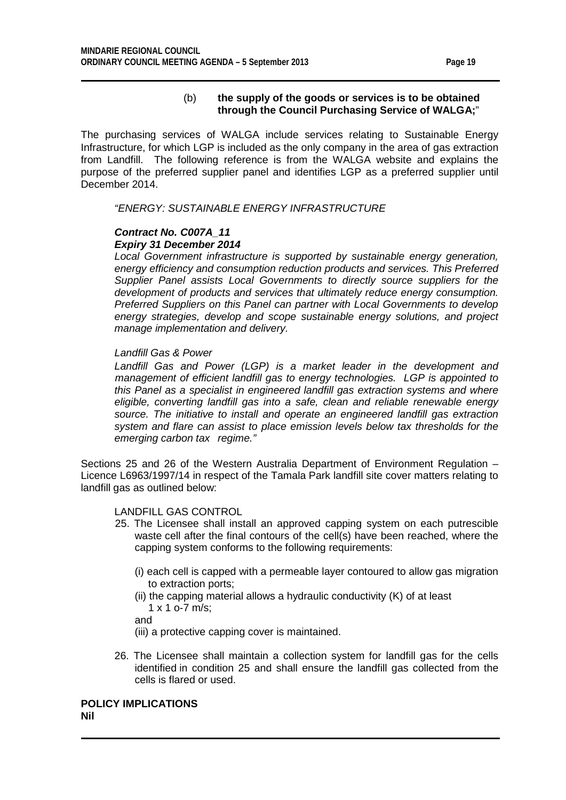## (b) **the supply of the goods or services is to be obtained through the Council Purchasing Service of WALGA;**"

The purchasing services of WALGA include services relating to Sustainable Energy Infrastructure, for which LGP is included as the only company in the area of gas extraction from Landfill. The following reference is from the WALGA website and explains the purpose of the preferred supplier panel and identifies LGP as a preferred supplier until December 2014.

*"ENERGY: SUSTAINABLE ENERGY INFRASTRUCTURE*

## *Contract No. C007A\_11 Expiry 31 December 2014*

*Local Government infrastructure is supported by sustainable energy generation, energy efficiency and consumption reduction products and services. This Preferred Supplier Panel assists Local Governments to directly source suppliers for the development of products and services that ultimately reduce energy consumption. Preferred Suppliers on this Panel can partner with Local Governments to develop energy strategies, develop and scope sustainable energy solutions, and project manage implementation and delivery.*

## *Landfill Gas & Power*

Landfill Gas and Power (LGP) is a market leader in the development and *management of efficient landfill gas to energy technologies. LGP is appointed to this Panel as a specialist in engineered landfill gas extraction systems and where eligible, converting landfill gas into a safe, clean and reliable renewable energy source. The initiative to install and operate an engineered landfill gas extraction system and flare can assist to place emission levels below tax thresholds for the emerging carbon tax regime."*

Sections 25 and 26 of the Western Australia Department of Environment Regulation – Licence L6963/1997/14 in respect of the Tamala Park landfill site cover matters relating to landfill gas as outlined below:

## LANDFILL GAS CONTROL

- 25. The Licensee shall install an approved capping system on each putrescible waste cell after the final contours of the cell(s) have been reached, where the capping system conforms to the following requirements:
	- (i) each cell is capped with a permeable layer contoured to allow gas migration to extraction ports;
	- (ii) the capping material allows a hydraulic conductivity (K) of at least 1 x 1 o-7 m/s;
	- and

(iii) a protective capping cover is maintained.

26. The Licensee shall maintain a collection system for landfill gas for the cells identified in condition 25 and shall ensure the landfill gas collected from the cells is flared or used.

**POLICY IMPLICATIONS Nil**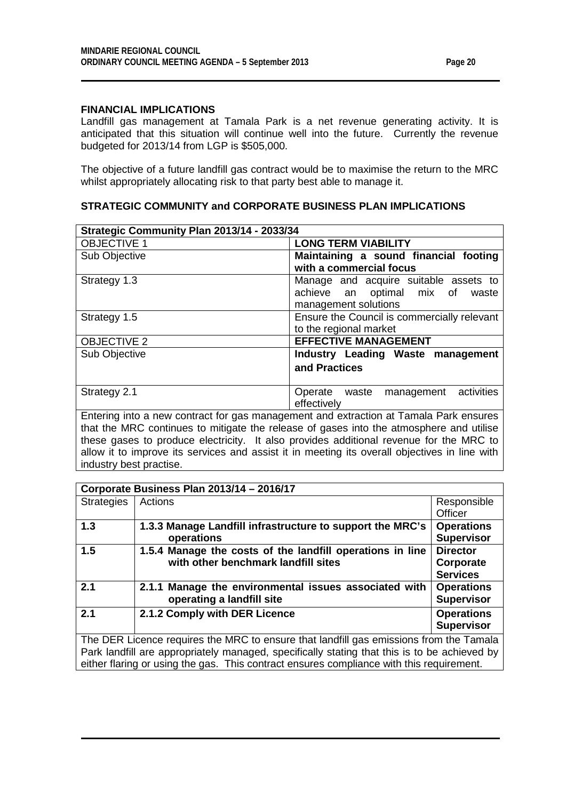## **FINANCIAL IMPLICATIONS**

Landfill gas management at Tamala Park is a net revenue generating activity. It is anticipated that this situation will continue well into the future. Currently the revenue budgeted for 2013/14 from LGP is \$505,000.

The objective of a future landfill gas contract would be to maximise the return to the MRC whilst appropriately allocating risk to that party best able to manage it.

|  |  |  | <b>STRATEGIC COMMUNITY and CORPORATE BUSINESS PLAN IMPLICATIONS</b> |  |
|--|--|--|---------------------------------------------------------------------|--|
|--|--|--|---------------------------------------------------------------------|--|

| Strategic Community Plan 2013/14 - 2033/34                                                                                                                                                         |                                                                                                     |  |  |
|----------------------------------------------------------------------------------------------------------------------------------------------------------------------------------------------------|-----------------------------------------------------------------------------------------------------|--|--|
| <b>OBJECTIVE 1</b>                                                                                                                                                                                 | <b>LONG TERM VIABILITY</b>                                                                          |  |  |
| Sub Objective                                                                                                                                                                                      | Maintaining a sound financial footing<br>with a commercial focus                                    |  |  |
| Strategy 1.3                                                                                                                                                                                       | Manage and acquire suitable assets to<br>achieve an optimal mix of<br>waste<br>management solutions |  |  |
| Strategy 1.5                                                                                                                                                                                       | Ensure the Council is commercially relevant<br>to the regional market                               |  |  |
| <b>OBJECTIVE 2</b>                                                                                                                                                                                 | <b>EFFECTIVE MANAGEMENT</b>                                                                         |  |  |
| Sub Objective                                                                                                                                                                                      | Industry Leading Waste management                                                                   |  |  |
|                                                                                                                                                                                                    | and Practices                                                                                       |  |  |
| Strategy 2.1                                                                                                                                                                                       | management activities<br>Operate waste<br>effectively                                               |  |  |
| Entering into a new contract for gas management and extraction at Tamala Park ensures<br>that the $\mathsf{MDA}$ continues to additional the polices of proceedints the stars rules are deal addis |                                                                                                     |  |  |

that the MRC continues to mitigate the release of gases into the atmosphere and utilise these gases to produce electricity. It also provides additional revenue for the MRC to allow it to improve its services and assist it in meeting its overall objectives in line with industry best practise.

| Corporate Business Plan 2013/14 - 2016/17                                                                                                                                              |                                                                                                  |                                                 |  |
|----------------------------------------------------------------------------------------------------------------------------------------------------------------------------------------|--------------------------------------------------------------------------------------------------|-------------------------------------------------|--|
| <b>Strategies</b>                                                                                                                                                                      | Actions                                                                                          | Responsible<br>Officer                          |  |
| 1.3                                                                                                                                                                                    | 1.3.3 Manage Landfill infrastructure to support the MRC's<br>operations                          | <b>Operations</b><br><b>Supervisor</b>          |  |
| 1.5                                                                                                                                                                                    | 1.5.4 Manage the costs of the landfill operations in line<br>with other benchmark landfill sites | <b>Director</b><br>Corporate<br><b>Services</b> |  |
| 2.1                                                                                                                                                                                    | 2.1.1 Manage the environmental issues associated with<br>operating a landfill site               | <b>Operations</b><br><b>Supervisor</b>          |  |
| 2.1                                                                                                                                                                                    | 2.1.2 Comply with DER Licence                                                                    | <b>Operations</b><br><b>Supervisor</b>          |  |
| The DER Licence requires the MRC to ensure that landfill gas emissions from the Tamala<br>Park landfill are appropriately managed, specifically stating that this is to be achieved by |                                                                                                  |                                                 |  |

Park landfill are appropriately managed, specifically stating that this is to be achieved by either flaring or using the gas. This contract ensures compliance with this requirement.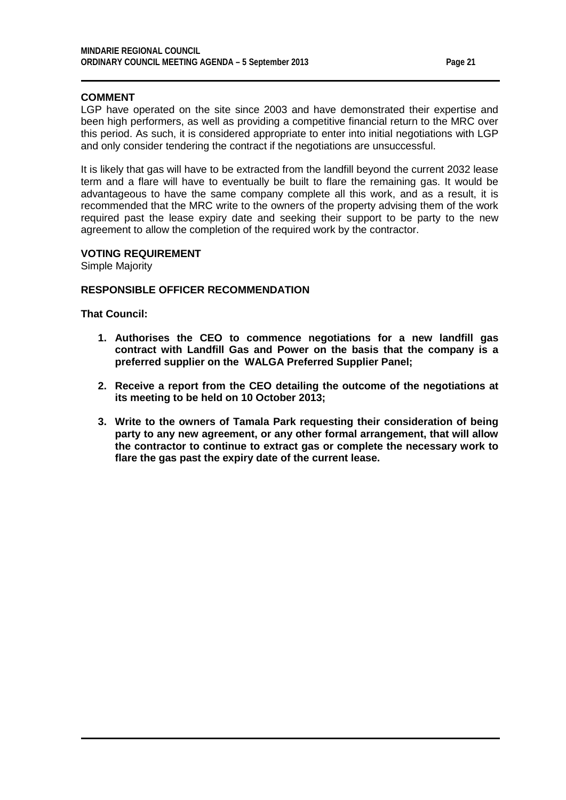### **COMMENT**

LGP have operated on the site since 2003 and have demonstrated their expertise and been high performers, as well as providing a competitive financial return to the MRC over this period. As such, it is considered appropriate to enter into initial negotiations with LGP and only consider tendering the contract if the negotiations are unsuccessful.

It is likely that gas will have to be extracted from the landfill beyond the current 2032 lease term and a flare will have to eventually be built to flare the remaining gas. It would be advantageous to have the same company complete all this work, and as a result, it is recommended that the MRC write to the owners of the property advising them of the work required past the lease expiry date and seeking their support to be party to the new agreement to allow the completion of the required work by the contractor.

### **VOTING REQUIREMENT**

Simple Majority

## **RESPONSIBLE OFFICER RECOMMENDATION**

**That Council:**

- **1. Authorises the CEO to commence negotiations for a new landfill gas contract with Landfill Gas and Power on the basis that the company is a preferred supplier on the WALGA Preferred Supplier Panel;**
- **2. Receive a report from the CEO detailing the outcome of the negotiations at its meeting to be held on 10 October 2013;**
- **3. Write to the owners of Tamala Park requesting their consideration of being party to any new agreement, or any other formal arrangement, that will allow the contractor to continue to extract gas or complete the necessary work to flare the gas past the expiry date of the current lease.**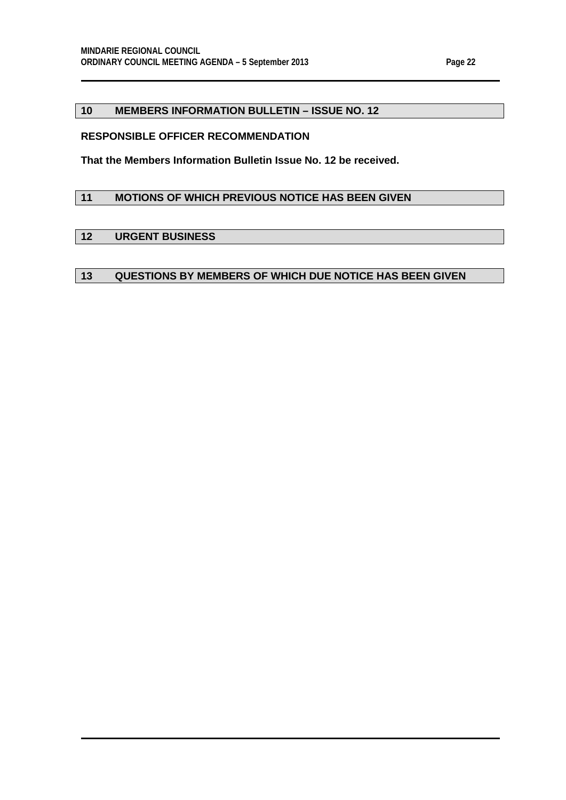## <span id="page-21-0"></span>**10 MEMBERS INFORMATION BULLETIN – ISSUE NO. 12**

## **RESPONSIBLE OFFICER RECOMMENDATION**

**That the Members Information Bulletin Issue No. 12 be received.**

## <span id="page-21-1"></span>**11 MOTIONS OF WHICH PREVIOUS NOTICE HAS BEEN GIVEN**

## <span id="page-21-2"></span>**12 URGENT BUSINESS**

### <span id="page-21-3"></span>**13 QUESTIONS BY MEMBERS OF WHICH DUE NOTICE HAS BEEN GIVEN**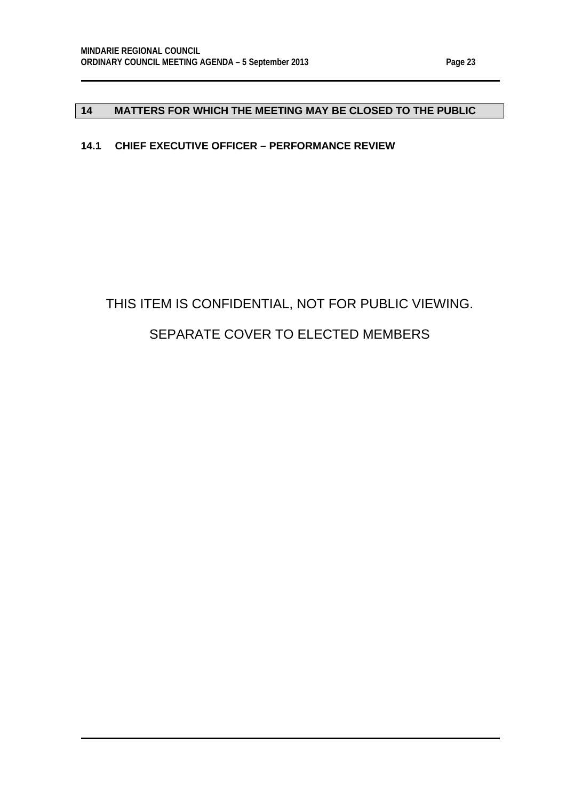# <span id="page-22-0"></span>**14 MATTERS FOR WHICH THE MEETING MAY BE CLOSED TO THE PUBLIC**

# <span id="page-22-1"></span>**14.1 CHIEF EXECUTIVE OFFICER – PERFORMANCE REVIEW**

# THIS ITEM IS CONFIDENTIAL, NOT FOR PUBLIC VIEWING. SEPARATE COVER TO ELECTED MEMBERS